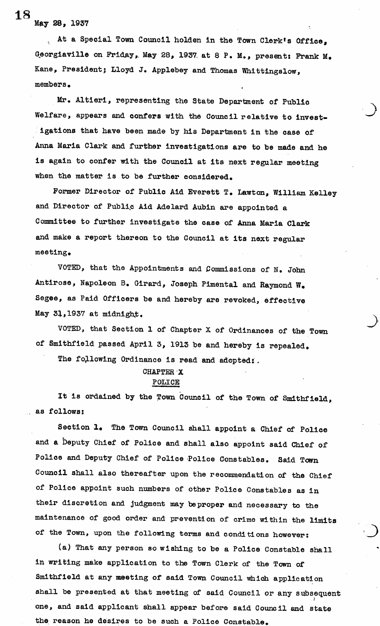. At a Special Town Council holden in the Town Clerk's Office, Georgiaville on Friday,. May 28, 1937. at 8 P. M., present: Prank M. Kane, President; Lloyd J. Applebey and Thomas Whittingslow,  $m$ embers $\sim$ 

Mr. Altieri, representing the State Department of Public Welfare, appears and confers with the Council relative to invest igations that have been made by his Department in the case of Anna Maria Clark and further investigations are to be made and he is again to confer with the Council at its next regular meeting when the matter is to be further considered.

Former Director of Public Aid Everett T. Lawton, William Kelley and Director of Public Aid Adelard Aubin are appointed a Committee to further investigate the case of Anna Maria Clark and make a report thereon to the Council at its next regular meeting.

VOTED, that the Appointments and Commissions of N. John Antirose, Hapoleon B. Girard, Joseph Pimental and Raymond W. Segee, as Paid Officers be and hereby are revoked, effective May 31,1937 at midnight.

VOTED, that Section 1 of Chapter X of Ordinances of the Town of Smithfield passed April 3, 1913 be and hereby is repealed.

The following Ordinance is read and adopted: .

## CHAPTER X POLICE

It is ordained by the Town Council of the Town of Smithfield, as follows:

Section 1. The Town Council shall appoint a Chief of Police and a Deputy Chief of Police and shall also appoint said Chief of Police and Deputy Chief of Police Police Constables. Said Town Council shall also thereafter upon the recommendation of the Chief of Police appoint such numbers of other Police Constables as in their discretion and judgment may beproper and necessary to the maintenance of good order and prevention of crime within the limits of the Town, upon the following terms and conditions however:

(a) That any person so wishing to be a Police Constable shall in writing make application to the Town Clerk of the Town of Smithfield at any meeting of said Town Council which application shall be presented at that meeting of said Council or any subsequent one, and said applicant shall appear before said Council and state the reason he desires to be such a Police Constable.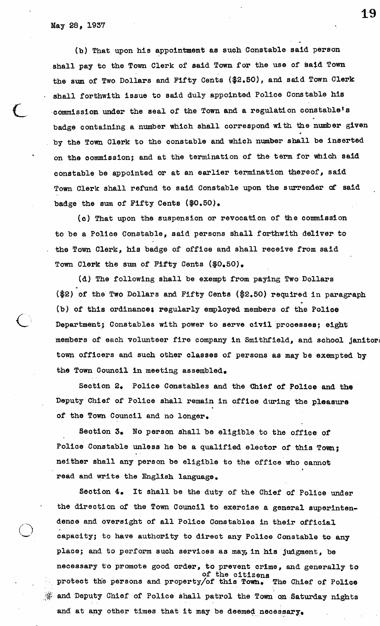(b) That upon his appointment as such Constable said person shall pay to the Town Clerk of said Town for the use of said Town the sum of Two Dollars and Fifty Cents (\$2.50), and said Town Clerk shall forthwith issue to said duly appointed Police Constable his commission under the seal of the Town and a regulation constable's badge containing a number which shall correspond with the number given by the Town Clerk to the constable and which number shall be inserted on the commission; and at the termination of the term for which said constable be appointed or at an earlier termination thereof, said Town Clerk shall refund to said Constable upon the surrender of said badge the sum of Fifty Cents (\$0.50),

(c) That upon the suspension or revocation of the commission to be a Police Constable, said persons shall forthwith deliver to . the Town Clerk, his badge of office and shall receive from said Town Clerk the sum of Fifty Cents (\$0.50).

(d) The following shall be exempt from paying Two Dollars (\$2) of the Two Dollars and Fifty Cents (\$2,50) required in paragraph (b) of this ordinance; regularly employed members of the Police Department; Constables with power to serve civil processes; eight members of each volunteer fire company in Smithfield, and school janiton town officers and such other classes of persons as may be exempted by the Town Council in meeting assembled.

Section 2. Police Constables and the Chief of Police and the Deputy Chief of Police shall remain in office during the pleasure of the Town Council and no longer.

Section 3. No person shall be eligible to the office of Police Constable unless he be a qualified elector of this Town; neither shall any person be eligible to the office who cannot read and write the English language.

Section 4. It shall be the duty of the Chief of Police under the direction of the Town Council to exercise a general superintendence and oversight of all Police Constables in their official capacity; to have authority to direct any Police Constable to any place; and to perform such services as may, in his judgment, be necessary to promote good order, to prevent crime, and generally to of the citizens protect the persons and property/of this Town. The Chief of Police  $\frac{1}{2}$  and Deputy Chief of Police shall patrol the Town on Saturday nights and at any other times that it may be deemed necessary.

19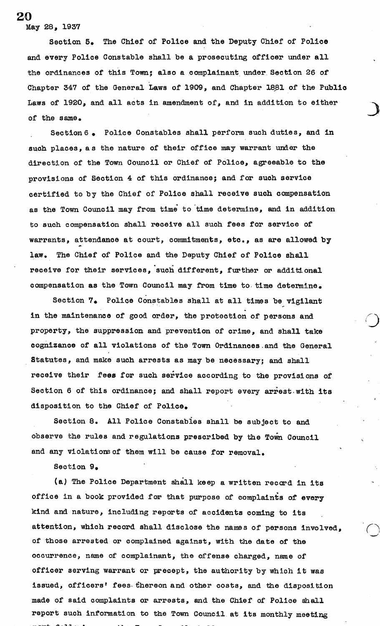Section 5» The Chief of Police and the Deputy Chief of Police and every Police Constable shall be a prosecuting officer under all the ordinances of this Town; also a complainant under Section 26 of Chapter 347 of the General Laws of 1909, and Chapter 1881 of the Public Laws of 1920, and all acts in amendment of, and in addition to either of the same.

Section6 • Police Constables shall perform such duties, and in such places, as the nature of their office may warrant under the direction of the Town Council or Chief of Police, agreeable to the provisions of Section 4 of this ordinance; and for such service certified to by the Chief of Police shall receive such compensation as the Town Council may from time to time determine, and in addition to such compensation shall receive all such fees for service of warrants, attendance at court, commitments, etc., as are allowed by law. The Chief of Police and the Deputy Chief of Police shall receive for their services, 'such different, further or additional compensation as the Town Council may from time to time determine.

Section 7. Police Constables shall at all times be vigilant in the maintenance of good order, the protection of persons and property, the suppression and prevention of crime, and shall take cognizance of all violations of the Town Ordinances.and the General Statutes, and make such arrests as may be necessary; and shall receive their fees for such service according to the provisions of Section 6 of this ordinance; and shall report every arrest with its disposition to the Chief of Police.

Section 8, All Police Constables shall be subject to and observe the rules and regulations prescribed by the Town Council and any violations of them will be cause for removal.

Section 9.

(a) The Police Department shall keep a written record in its office in a book provided for that purpose of complaints of every kind and nature, including reports of accidents coming to its attention, which record shall disclose the names of persons involved, of those arrested or complained against, with the date of the occurrence, name of complainant, the offense charged, name of officer serving warrant or precept, the authority by which it was issued, officers' fees-thereon and other costs, and the disposition made of said complaints or arrests, and the Chief of Police shall report such information to the Town Council at its monthly meeting

20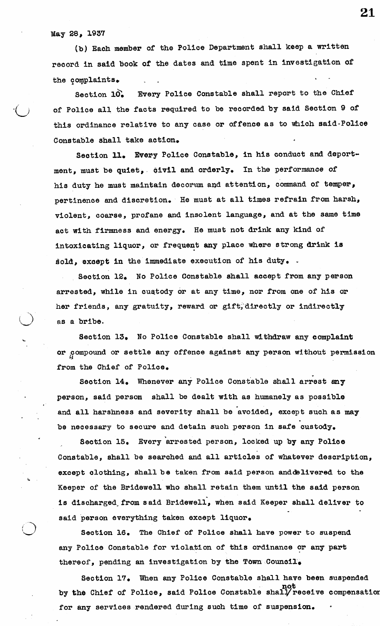i.

(b) Each member of the Police Department shall keep a written record in said book of the dates and time spent in investigation of the complaints.

Section 10. Every Police Constable shall report to the Chief of Police all the facts required to be recorded by said Section 9 of this ordinance relative to any case or offence as to which said-Police Constable shall take action.

Section 11. Every Police Constable, in his conduct and deport ment, must be quiet, civil and orderly. In the performance of his duty he must maintain decorum and attention, command of temper, pertinence and discretion. He must at all times refrain from harsh, violent, coarse, profane and insolent language, and at the same time act with firmness and energy. He must not drink any kind of intoxicating liquor, or frequent any place where strong drink is sold, except in the immediate execution of his duty.

Section 12. No Police Constable shall accept from any person arrested, while in custody or at any time, nor from one of his or her friends, any gratuity, reward or gift, directly or indirectly as a bribe.

Section 13. No Police Constable shall withdraw any complaint or compound or settle any offence against any person without permission from the Chief of Police.

Section 14. Whenever any Police Constable shall arrest any person, said person shall be dealt with as humanely as possible and all harshness and severity shall be avoided, except such as may be necessary to secure and detain such person in safe custody.

Section 15. Every arrested person, locked up by any Police Constable, shall be searched and all articles of whatever description, except clothing, shall be taken from said person anddelivered to the Keeper of the Bridewell who shall retain them until the said person is discharged from said Bridewell, when said Keeper shall deliver to said person everything taken except liquor.

Section 16. The Chief of Police shall have power to suspend any Police Constable for violation of this ordinance or any part thereof, pending an investigation by the Town Council.

Section 17. When any Police Constable shall have been suspended not by the Chief of Police, said Police Constable shaiyreceive compensation for any services rendered during such time of suspension.

21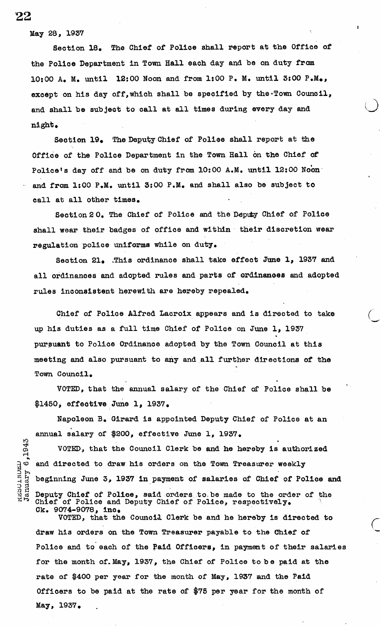Section 18. The Chief of Police shall report at the Office of the Police Department in Town Hall each day and be on duty from 10:00 A, M. until 12:00 Noon and from 1:00 P. M. until 3:00 P.M., except on his day off, which shall be specified by the Town Council, and shall be subject to call at all times during every day and night.

Section 19. The Deputy Chief of Police shall report at the Office of the Police Department in the Town Hall on the Chief of Police's day off and be on duty from 10:00 A.M. until 12:00 Noon and from 1:00 P.M. until 3:00 P.M. and shall also be subject to call at all other times.

Section 2 0. The Chief of Police and the Deputy Chief of Police shall wear their badges of office and within their discretion wear regulation police uniforms while on duty.

Section 21. .This ordinance shall take effect June 1, 1937 and all ordinances and adopted rules and parts of ordinances and adopted rules inconsistent herewith are hereby repealed.

Chief of Police Alfred Lacroix appears and is directed to take up his duties as a full time Chief of Police on June 1, 1937 pursuant to Police Ordinance adopted by the Town Council at this meeting and also pursuant to any and all further directions of the Town Council.

VOTED, that the annual salary of the Chief of Police shall be \$1450, effective June 1, 1937.

Napoleon B, Girard is appointed Deputy Chief of Police at an annual salary of \$200, effective June 1, 1937,

VOTED, that the Council Clerk be and he hereby is authorized  $\circ$  and directed to draw his orders on the Town Treasurer weekly beginning June 3, 1937 in payment of salaries of Chief of Police and Deputy Chief of Police, said orders to be made to the order of the Chief of Police and Deputy Chief of Police, respectively. Ck. 9074-9078, inc.

VOTED, that the Council Clerk be and he hereby is directed to draw his orders on the Town Treasurer payable to the Chief of Police and to each of the Paid Officers, in payment of their salaries for the month of.May, 1937, the Chief of Police to be paid at the rate of \$400 per year for the month of May, 1937 and the Paid Officers to be paid at the rate of \$75 per year for the month of May, 1937.

22

.1943

EXEDITIONSL<br>January 6,